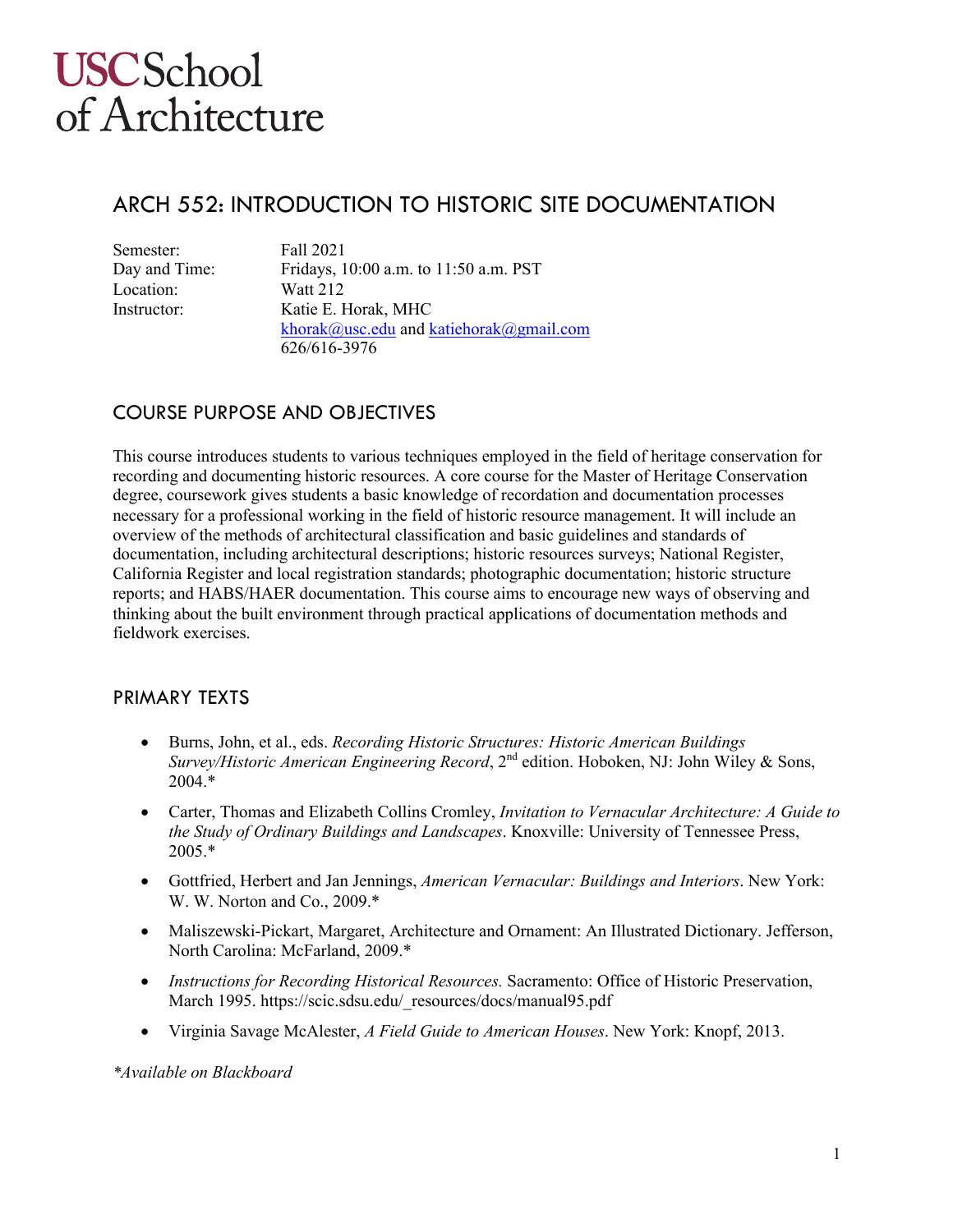# ARCH 552: INTRODUCTION TO HISTORIC SITE DOCUMENTATION

| Semester:     | Fall 2021                               |
|---------------|-----------------------------------------|
| Day and Time: | Fridays, 10:00 a.m. to 11:50 a.m. PST   |
| Location:     | <b>Watt 212</b>                         |
| Instructor:   | Katie E. Horak, MHC                     |
|               | khorak@usc.edu and katiehorak@gmail.com |
|               | 626/616-3976                            |

# COURSE PURPOSE AND OBJECTIVES

This course introduces students to various techniques employed in the field of heritage conservation for recording and documenting historic resources. A core course for the Master of Heritage Conservation degree, coursework gives students a basic knowledge of recordation and documentation processes necessary for a professional working in the field of historic resource management. It will include an overview of the methods of architectural classification and basic guidelines and standards of documentation, including architectural descriptions; historic resources surveys; National Register, California Register and local registration standards; photographic documentation; historic structure reports; and HABS/HAER documentation. This course aims to encourage new ways of observing and thinking about the built environment through practical applications of documentation methods and fieldwork exercises.

### PRIMARY TEXTS

- Burns, John, et al., eds. *Recording Historic Structures: Historic American Buildings Survey/Historic American Engineering Record*, 2<sup>nd</sup> edition. Hoboken, NJ: John Wiley & Sons, 2004.\*
- Carter, Thomas and Elizabeth Collins Cromley, *Invitation to Vernacular Architecture: A Guide to the Study of Ordinary Buildings and Landscapes*. Knoxville: University of Tennessee Press, 2005.\*
- Gottfried, Herbert and Jan Jennings, *American Vernacular: Buildings and Interiors*. New York: W. W. Norton and Co., 2009.\*
- Maliszewski-Pickart, Margaret, Architecture and Ornament: An Illustrated Dictionary. Jefferson, North Carolina: McFarland, 2009.\*
- *Instructions for Recording Historical Resources.* Sacramento: Office of Historic Preservation, March 1995. https://scic.sdsu.edu/\_resources/docs/manual95.pdf
- Virginia Savage McAlester, *A Field Guide to American Houses*. New York: Knopf, 2013.

*\*Available on Blackboard*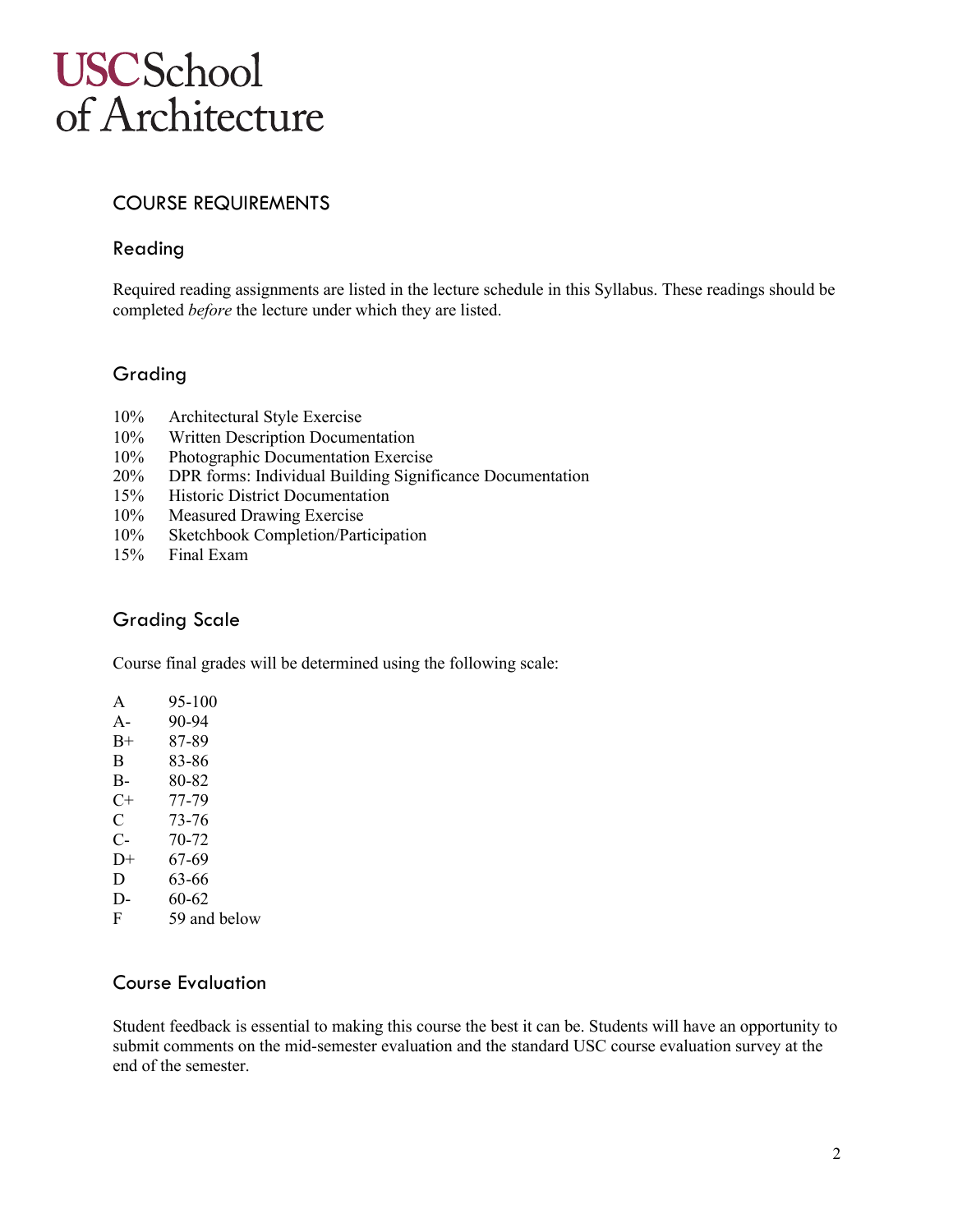# COURSE REQUIREMENTS

### Reading

Required reading assignments are listed in the lecture schedule in this Syllabus. These readings should be completed *before* the lecture under which they are listed.

# Grading

- 10% Architectural Style Exercise
- 10% Written Description Documentation
- 10% Photographic Documentation Exercise
- 20% DPR forms: Individual Building Significance Documentation
- 15% Historic District Documentation
- 10% Measured Drawing Exercise
- 10% Sketchbook Completion/Participation
- 15% Final Exam

# Grading Scale

Course final grades will be determined using the following scale:

| A    | 95-100 |
|------|--------|
| A-   | 90-94  |
| B+   | 87-89  |
| В    | 83-86  |
| В-   | 80-82  |
| $C+$ | 77-79  |
| C    | 73-76  |
| С-   | 70-72  |
| D+   | 67-69  |
| D    | 63-66  |
| D-   | 60-62  |
|      |        |

F 59 and below

### Course Evaluation

Student feedback is essential to making this course the best it can be. Students will have an opportunity to submit comments on the mid-semester evaluation and the standard USC course evaluation survey at the end of the semester.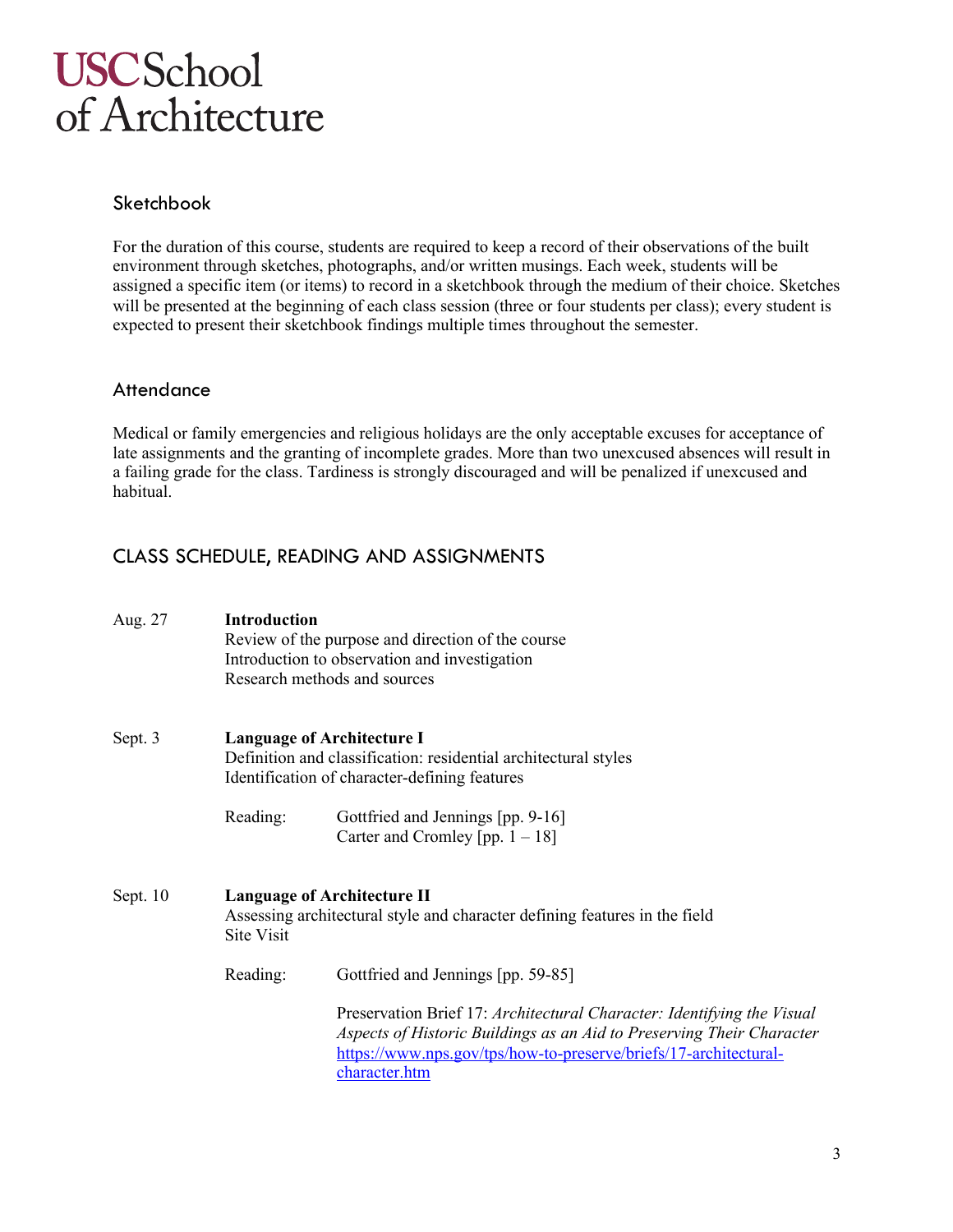### Sketchbook

For the duration of this course, students are required to keep a record of their observations of the built environment through sketches, photographs, and/or written musings. Each week, students will be assigned a specific item (or items) to record in a sketchbook through the medium of their choice. Sketches will be presented at the beginning of each class session (three or four students per class); every student is expected to present their sketchbook findings multiple times throughout the semester.

### **Attendance**

Medical or family emergencies and religious holidays are the only acceptable excuses for acceptance of late assignments and the granting of incomplete grades. More than two unexcused absences will result in a failing grade for the class. Tardiness is strongly discouraged and will be penalized if unexcused and habitual.

# CLASS SCHEDULE, READING AND ASSIGNMENTS

| Aug. 27    | <b>Introduction</b>                                                                                                                                   | Review of the purpose and direction of the course<br>Introduction to observation and investigation<br>Research methods and sources                                                                                                   |  |
|------------|-------------------------------------------------------------------------------------------------------------------------------------------------------|--------------------------------------------------------------------------------------------------------------------------------------------------------------------------------------------------------------------------------------|--|
| Sept. 3    | <b>Language of Architecture I</b><br>Definition and classification: residential architectural styles<br>Identification of character-defining features |                                                                                                                                                                                                                                      |  |
|            | Reading:                                                                                                                                              | Gottfried and Jennings [pp. 9-16]<br>Carter and Cromley [pp. $1 - 18$ ]                                                                                                                                                              |  |
| Sept. $10$ | <b>Language of Architecture II</b><br>Assessing architectural style and character defining features in the field<br>Site Visit                        |                                                                                                                                                                                                                                      |  |
|            | Reading:                                                                                                                                              | Gottfried and Jennings [pp. 59-85]                                                                                                                                                                                                   |  |
|            |                                                                                                                                                       | Preservation Brief 17: Architectural Character: Identifying the Visual<br>Aspects of Historic Buildings as an Aid to Preserving Their Character<br>https://www.nps.gov/tps/how-to-preserve/briefs/17-architectural-<br>character.htm |  |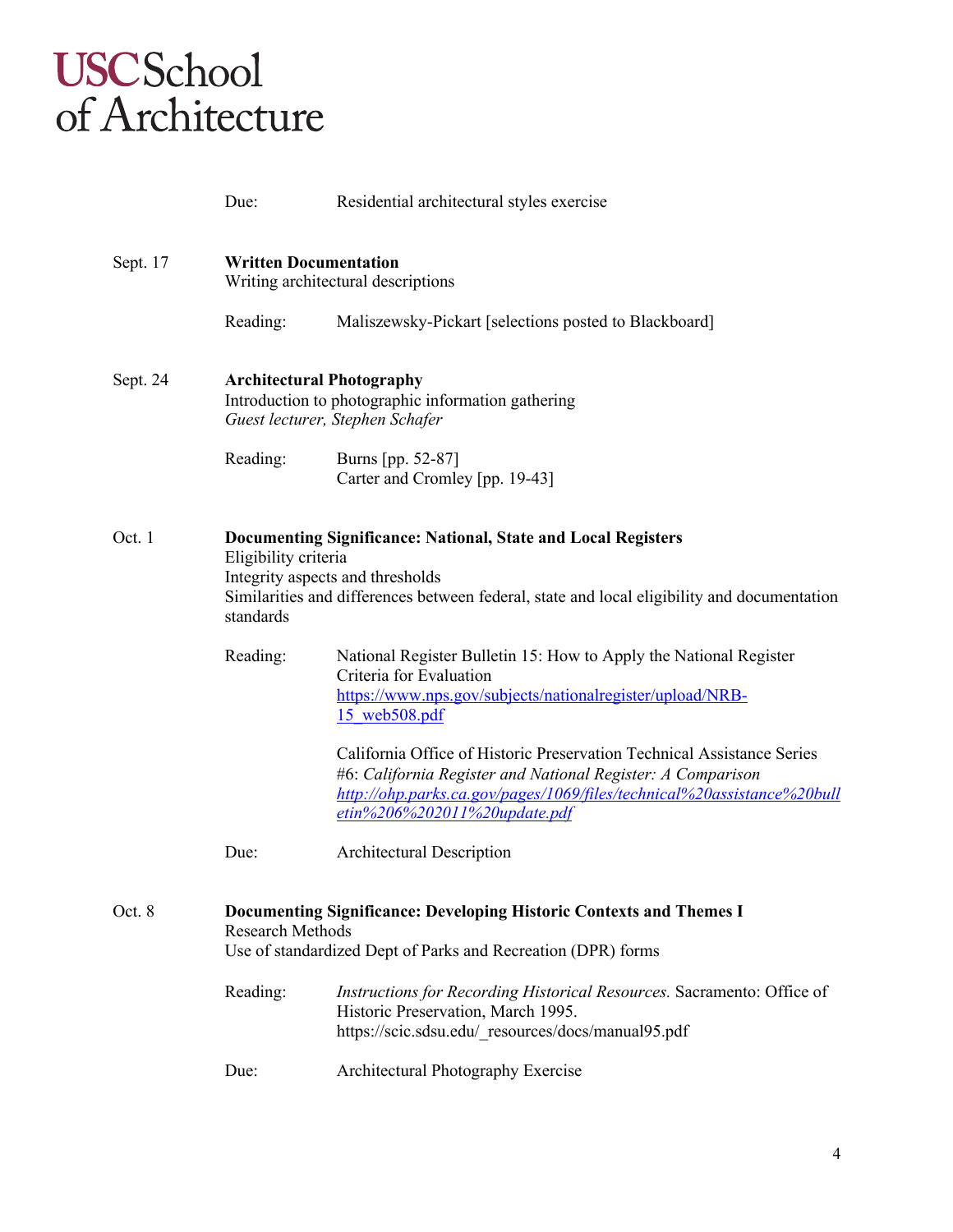|          | Due:                                                                                                                                                                                                                                  | Residential architectural styles exercise                                                                                                                                                                                                            |  |
|----------|---------------------------------------------------------------------------------------------------------------------------------------------------------------------------------------------------------------------------------------|------------------------------------------------------------------------------------------------------------------------------------------------------------------------------------------------------------------------------------------------------|--|
| Sept. 17 | <b>Written Documentation</b><br>Writing architectural descriptions                                                                                                                                                                    |                                                                                                                                                                                                                                                      |  |
|          | Reading:                                                                                                                                                                                                                              | Maliszewsky-Pickart [selections posted to Blackboard]                                                                                                                                                                                                |  |
| Sept. 24 | <b>Architectural Photography</b><br>Introduction to photographic information gathering<br>Guest lecturer, Stephen Schafer                                                                                                             |                                                                                                                                                                                                                                                      |  |
|          | Reading:                                                                                                                                                                                                                              | Burns [pp. 52-87]<br>Carter and Cromley [pp. 19-43]                                                                                                                                                                                                  |  |
| Oct. 1   | Documenting Significance: National, State and Local Registers<br>Eligibility criteria<br>Integrity aspects and thresholds<br>Similarities and differences between federal, state and local eligibility and documentation<br>standards |                                                                                                                                                                                                                                                      |  |
|          | Reading:                                                                                                                                                                                                                              | National Register Bulletin 15: How to Apply the National Register<br>Criteria for Evaluation<br>https://www.nps.gov/subjects/nationalregister/upload/NRB-<br>15 web508.pdf<br>California Office of Historic Preservation Technical Assistance Series |  |
|          |                                                                                                                                                                                                                                       | #6: California Register and National Register: A Comparison<br>http://ohp.parks.ca.gov/pages/1069/files/technical%20assistance%20bull<br>etin%206%202011%20update.pdf                                                                                |  |
|          | Due:                                                                                                                                                                                                                                  | <b>Architectural Description</b>                                                                                                                                                                                                                     |  |
| Oct. 8   | <b>Documenting Significance: Developing Historic Contexts and Themes I</b><br><b>Research Methods</b><br>Use of standardized Dept of Parks and Recreation (DPR) forms                                                                 |                                                                                                                                                                                                                                                      |  |
|          | Reading:                                                                                                                                                                                                                              | Instructions for Recording Historical Resources. Sacramento: Office of<br>Historic Preservation, March 1995.<br>https://scic.sdsu.edu/ resources/docs/manual95.pdf                                                                                   |  |
|          | Due:                                                                                                                                                                                                                                  | Architectural Photography Exercise                                                                                                                                                                                                                   |  |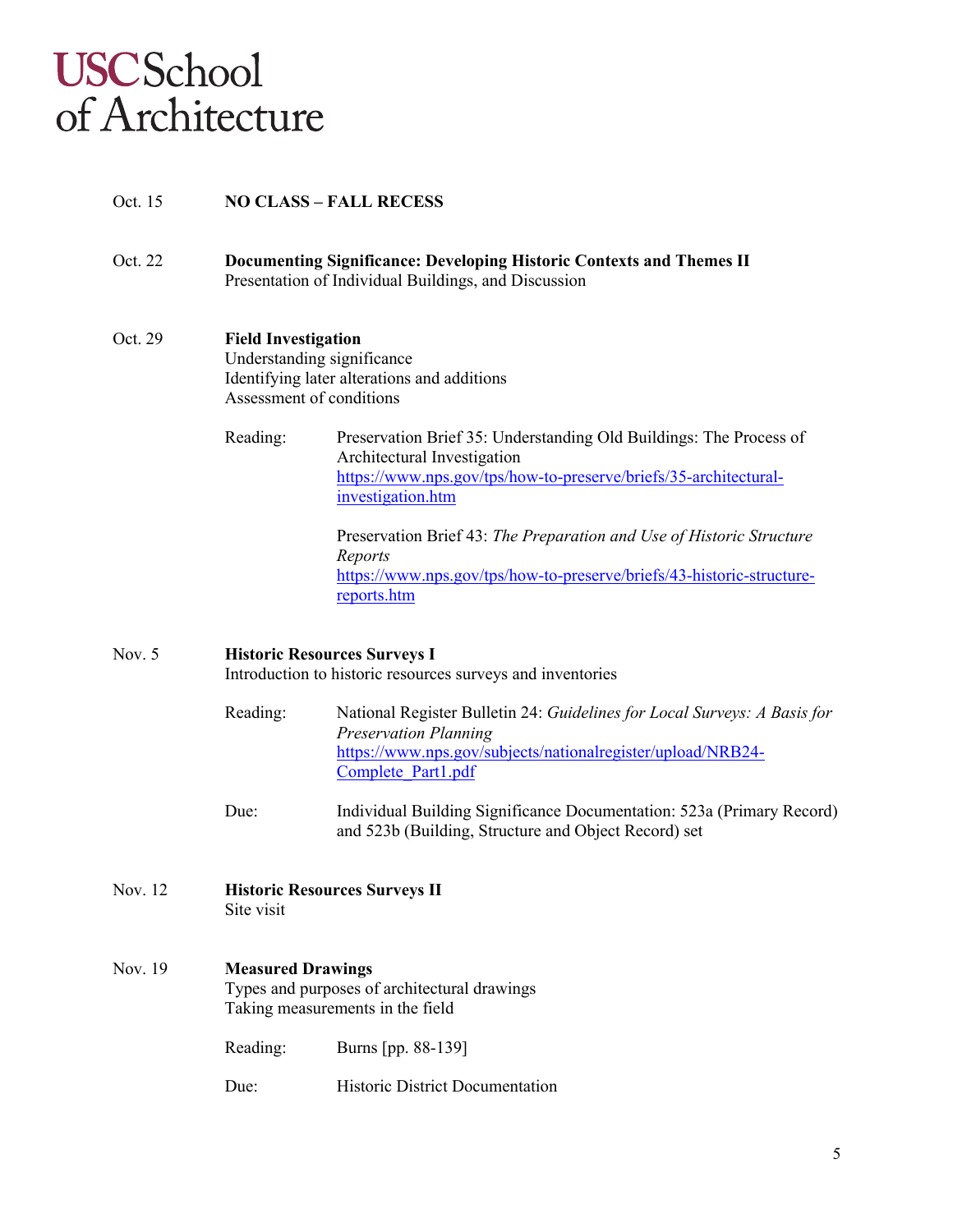#### Oct. 15 **NO CLASS – FALL RECESS**

Oct. 22 **Documenting Significance: Developing Historic Contexts and Themes II** Presentation of Individual Buildings, and Discussion

#### Oct. 29 **Field Investigation**

Understanding significance Identifying later alterations and additions Assessment of conditions

Reading: Preservation Brief 35: Understanding Old Buildings: The Process of Architectural Investigation https://www.nps.gov/tps/how-to-preserve/briefs/35-architecturalinvestigation.htm

> Preservation Brief 43: *The Preparation and Use of Historic Structure Reports*  https://www.nps.gov/tps/how-to-preserve/briefs/43-historic-structurereports.htm

# Nov. 5 **Historic Resources Surveys I** Introduction to historic resources surveys and inventories

- Reading: National Register Bulletin 24: *Guidelines for Local Surveys: A Basis for Preservation Planning* https://www.nps.gov/subjects/nationalregister/upload/NRB24- Complete\_Part1.pdf
- Due: Individual Building Significance Documentation: 523a (Primary Record) and 523b (Building, Structure and Object Record) set
- Nov. 12 **Historic Resources Surveys II** Site visit

#### Nov. 19 **Measured Drawings**

Types and purposes of architectural drawings Taking measurements in the field

Reading: Burns [pp. 88-139]

Due: Historic District Documentation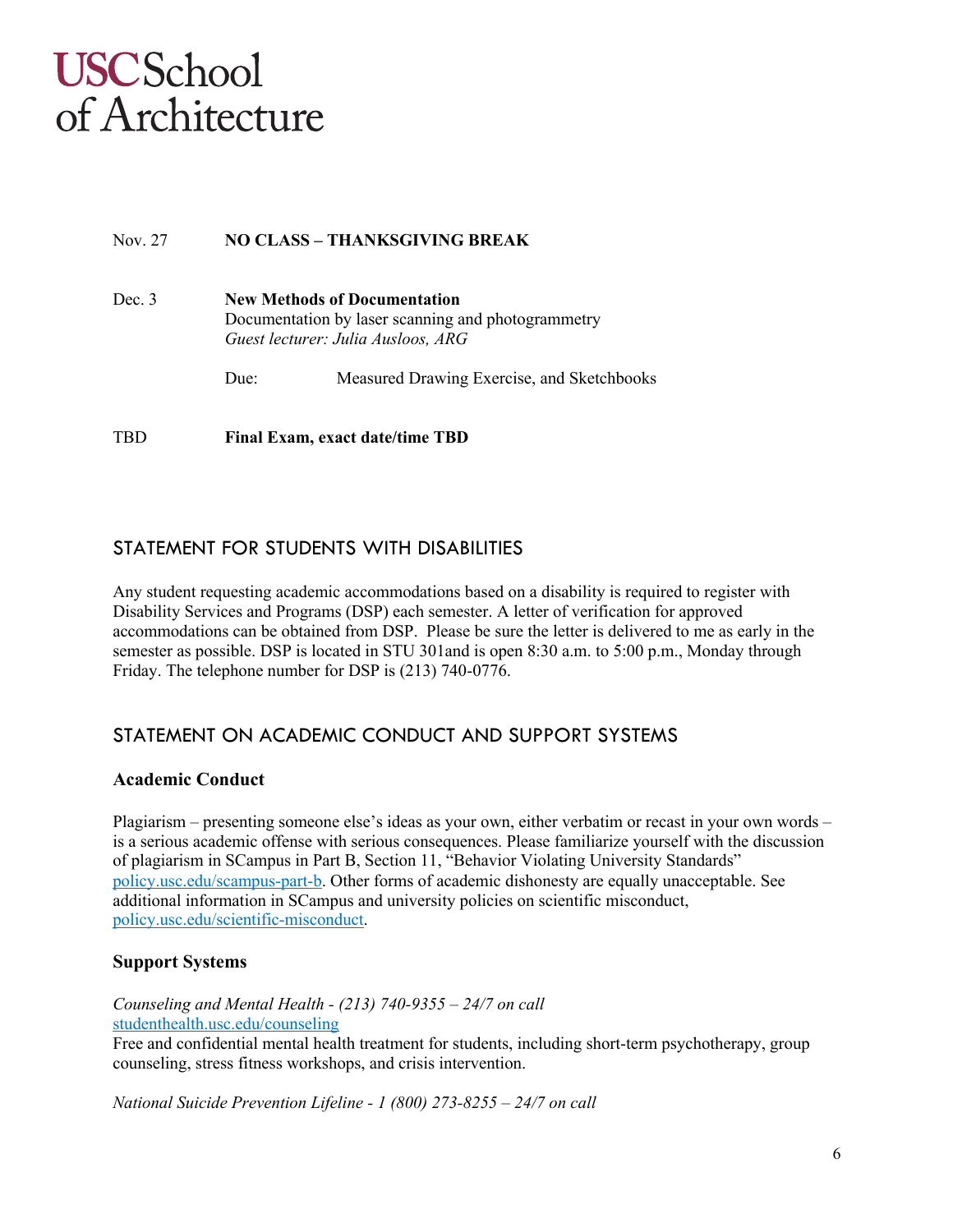#### Nov. 27 **NO CLASS – THANKSGIVING BREAK**

Dec. 3 **New Methods of Documentation** Documentation by laser scanning and photogrammetry *Guest lecturer: Julia Ausloos, ARG*

Due: Measured Drawing Exercise, and Sketchbooks

TBD **Final Exam, exact date/time TBD**

# STATEMENT FOR STUDENTS WITH DISABILITIES

Any student requesting academic accommodations based on a disability is required to register with Disability Services and Programs (DSP) each semester. A letter of verification for approved accommodations can be obtained from DSP. Please be sure the letter is delivered to me as early in the semester as possible. DSP is located in STU 301and is open 8:30 a.m. to 5:00 p.m., Monday through Friday. The telephone number for DSP is (213) 740-0776.

# STATEMENT ON ACADEMIC CONDUCT AND SUPPORT SYSTEMS

#### **Academic Conduct**

Plagiarism – presenting someone else's ideas as your own, either verbatim or recast in your own words – is a serious academic offense with serious consequences. Please familiarize yourself with the discussion of plagiarism in SCampus in Part B, Section 11, "Behavior Violating University Standards" policy.usc.edu/scampus-part-b. Other forms of academic dishonesty are equally unacceptable. See additional information in SCampus and university policies on scientific misconduct, policy.usc.edu/scientific-misconduct.

### **Support Systems**

#### *Counseling and Mental Health - (213) 740-9355 – 24/7 on call* studenthealth.usc.edu/counseling

Free and confidential mental health treatment for students, including short-term psychotherapy, group counseling, stress fitness workshops, and crisis intervention.

*National Suicide Prevention Lifeline - 1 (800) 273-8255 – 24/7 on call*